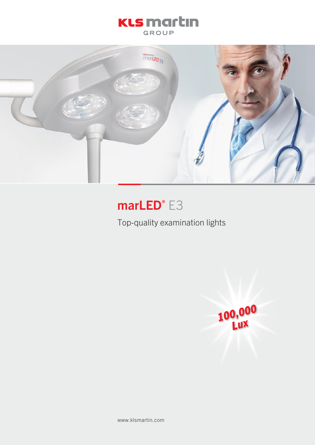## **KLS** martın **GROUP**



# marLED® E3

Top-quality examination lights



www.klsmartin.com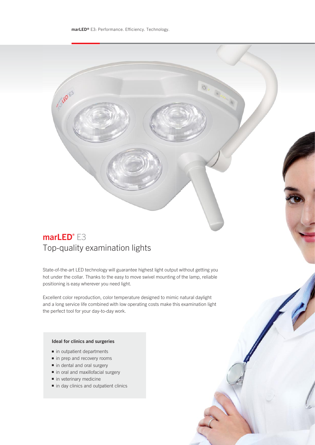## marLED® E3 Top-quality examination lights

State-of-the-art LED technology will guarantee highest light output without getting you hot under the collar. Thanks to the easy to move swivel mounting of the lamp, reliable positioning is easy wherever you need light.

Excellent color reproduction, color temperature designed to mimic natural daylight and a long service life combined with low operating costs make this examination light the perfect tool for your day-to-day work.

### Ideal for clinics and surgeries

- in outpatient departments
- in prep and recovery rooms
- in dental and oral surgery
- in oral and maxillofacial surgery
- in veterinary medicine
- in day clinics and outpatient clinics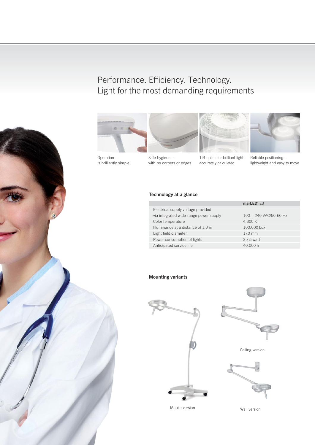Operation – is brilliantly simple!

# Performance. Efficiency. Technology. Light for the most demanding requirements







TIR optics for brilliant light – accurately calculated



Reliable positioning – lightweight and easy to move

### Technology at a glance

Safe hygiene – with no corners or edges

|                                        | $markED* E3$           |
|----------------------------------------|------------------------|
| Electrical supply voltage provided     |                        |
| via integrated wide-range power supply | 100 - 240 VAC/50-60 Hz |
| Color temperature                      | 4,300 K                |
| Illuminance at a distance of 1.0 m     | 100,000 Lux            |
| Light field diameter                   | 170 mm                 |
| Power consumption of lights            | $3 \times 5$ watt      |
| Anticipated service life               | 40,000 h               |

### Mounting variants